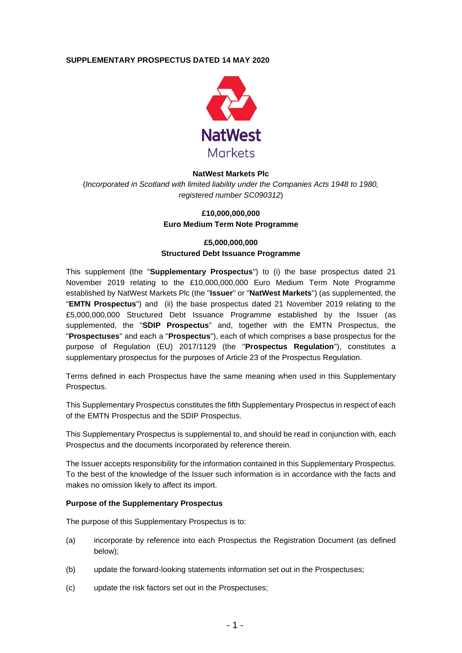### **SUPPLEMENTARY PROSPECTUS DATED 14 MAY 2020**



#### **NatWest Markets Plc**

(*Incorporated in Scotland with limited liability under the Companies Acts 1948 to 1980, registered number SC090312*)

#### **£10,000,000,000 Euro Medium Term Note Programme**

# **£5,000,000,000 Structured Debt Issuance Programme**

This supplement (the "**Supplementary Prospectus**") to (i) the base prospectus dated 21 November 2019 relating to the £10,000,000,000 Euro Medium Term Note Programme established by NatWest Markets Plc (the "**Issuer**" or "**NatWest Markets**") (as supplemented, the "**EMTN Prospectus**") and (ii) the base prospectus dated 21 November 2019 relating to the £5,000,000,000 Structured Debt Issuance Programme established by the Issuer (as supplemented, the "**SDIP Prospectus**" and, together with the EMTN Prospectus, the "**Prospectuses**" and each a "**Prospectus**"), each of which comprises a base prospectus for the purpose of Regulation (EU) 2017/1129 (the "**Prospectus Regulation**"), constitutes a supplementary prospectus for the purposes of Article 23 of the Prospectus Regulation.

Terms defined in each Prospectus have the same meaning when used in this Supplementary Prospectus.

This Supplementary Prospectus constitutes the fifth Supplementary Prospectus in respect of each of the EMTN Prospectus and the SDIP Prospectus.

This Supplementary Prospectus is supplemental to, and should be read in conjunction with, each Prospectus and the documents incorporated by reference therein.

The Issuer accepts responsibility for the information contained in this Supplementary Prospectus. To the best of the knowledge of the Issuer such information is in accordance with the facts and makes no omission likely to affect its import.

#### **Purpose of the Supplementary Prospectus**

The purpose of this Supplementary Prospectus is to:

- (a) incorporate by reference into each Prospectus the Registration Document (as defined below);
- (b) update the forward-looking statements information set out in the Prospectuses;
- (c) update the risk factors set out in the Prospectuses;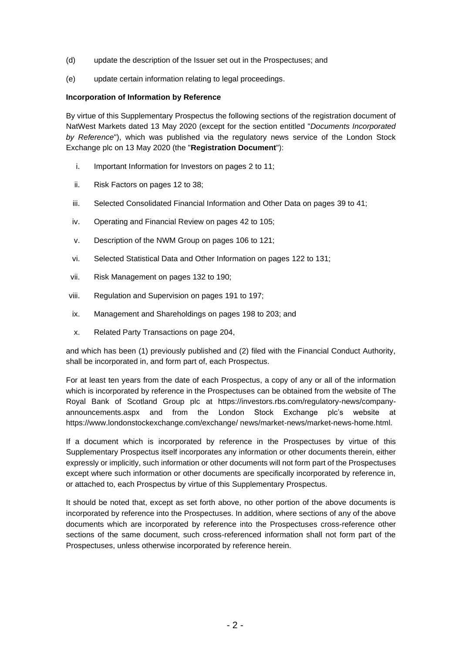- (d) update the description of the Issuer set out in the Prospectuses; and
- (e) update certain information relating to legal proceedings.

### **Incorporation of Information by Reference**

By virtue of this Supplementary Prospectus the following sections of the registration document of NatWest Markets dated 13 May 2020 (except for the section entitled "*Documents Incorporated by Reference*"), which was published via the regulatory news service of the London Stock Exchange plc on 13 May 2020 (the "**Registration Document**"):

- i. Important Information for Investors on pages 2 to 11;
- ii. Risk Factors on pages 12 to 38;
- iii. Selected Consolidated Financial Information and Other Data on pages 39 to 41;
- iv. Operating and Financial Review on pages 42 to 105;
- v. Description of the NWM Group on pages 106 to 121;
- vi. Selected Statistical Data and Other Information on pages 122 to 131;
- vii. Risk Management on pages 132 to 190;
- viii. Regulation and Supervision on pages 191 to 197;
- ix. Management and Shareholdings on pages 198 to 203; and
- x. Related Party Transactions on page 204,

and which has been (1) previously published and (2) filed with the Financial Conduct Authority, shall be incorporated in, and form part of, each Prospectus.

For at least ten years from the date of each Prospectus, a copy of any or all of the information which is incorporated by reference in the Prospectuses can be obtained from the website of The Royal Bank of Scotland Group plc at https://investors.rbs.com/regulatory-news/companyannouncements.aspx and from the London Stock Exchange plc's website at https://www.londonstockexchange.com/exchange/ news/market-news/market-news-home.html.

If a document which is incorporated by reference in the Prospectuses by virtue of this Supplementary Prospectus itself incorporates any information or other documents therein, either expressly or implicitly, such information or other documents will not form part of the Prospectuses except where such information or other documents are specifically incorporated by reference in, or attached to, each Prospectus by virtue of this Supplementary Prospectus.

It should be noted that, except as set forth above, no other portion of the above documents is incorporated by reference into the Prospectuses. In addition, where sections of any of the above documents which are incorporated by reference into the Prospectuses cross-reference other sections of the same document, such cross-referenced information shall not form part of the Prospectuses, unless otherwise incorporated by reference herein.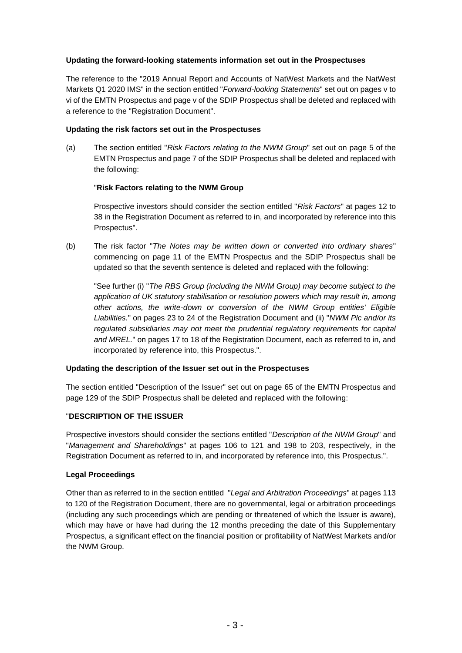## **Updating the forward-looking statements information set out in the Prospectuses**

The reference to the "2019 Annual Report and Accounts of NatWest Markets and the NatWest Markets Q1 2020 IMS" in the section entitled "*Forward-looking Statements*" set out on pages v to vi of the EMTN Prospectus and page v of the SDIP Prospectus shall be deleted and replaced with a reference to the "Registration Document".

#### **Updating the risk factors set out in the Prospectuses**

(a) The section entitled "*Risk Factors relating to the NWM Group*" set out on page 5 of the EMTN Prospectus and page 7 of the SDIP Prospectus shall be deleted and replaced with the following:

## "**Risk Factors relating to the NWM Group**

Prospective investors should consider the section entitled "*Risk Factors*" at pages 12 to 38 in the Registration Document as referred to in, and incorporated by reference into this Prospectus".

(b) The risk factor "*The Notes may be written down or converted into ordinary shares*" commencing on page 11 of the EMTN Prospectus and the SDIP Prospectus shall be updated so that the seventh sentence is deleted and replaced with the following:

"See further (i) "*The RBS Group (including the NWM Group) may become subject to the application of UK statutory stabilisation or resolution powers which may result in, among other actions, the write-down or conversion of the NWM Group entities' Eligible Liabilities.*" on pages 23 to 24 of the Registration Document and (ii) "*NWM Plc and/or its regulated subsidiaries may not meet the prudential regulatory requirements for capital and MREL.*" on pages 17 to 18 of the Registration Document, each as referred to in, and incorporated by reference into, this Prospectus.".

#### **Updating the description of the Issuer set out in the Prospectuses**

The section entitled "Description of the Issuer" set out on page 65 of the EMTN Prospectus and page 129 of the SDIP Prospectus shall be deleted and replaced with the following:

#### "**DESCRIPTION OF THE ISSUER**

Prospective investors should consider the sections entitled "*Description of the NWM Group*" and "*Management and Shareholdings*" at pages 106 to 121 and 198 to 203, respectively, in the Registration Document as referred to in, and incorporated by reference into, this Prospectus.".

## **Legal Proceedings**

Other than as referred to in the section entitled "*Legal and Arbitration Proceedings*" at pages 113 to 120 of the Registration Document, there are no governmental, legal or arbitration proceedings (including any such proceedings which are pending or threatened of which the Issuer is aware), which may have or have had during the 12 months preceding the date of this Supplementary Prospectus, a significant effect on the financial position or profitability of NatWest Markets and/or the NWM Group.